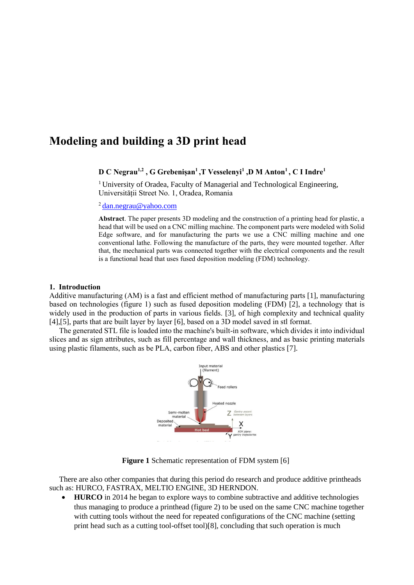# **Modeling and building a 3D print head**

### **D C Negrau1,2 , G Grebenișan<sup>1</sup> ,T Vesselenyi<sup>1</sup> ,D M Anton<sup>1</sup> , C I Indre<sup>1</sup>**

<sup>1</sup> University of Oradea, Faculty of Managerial and Technological Engineering, Universității Street No. 1, Oradea, Romania

<sup>2</sup>[dan.negrau@yahoo.com](mailto:dan.negrau@yahoo.com)

**Abstract**. The paper presents 3D modeling and the construction of a printing head for plastic, a head that will be used on a CNC milling machine. The component parts were modeled with Solid Edge software, and for manufacturing the parts we use a CNC milling machine and one conventional lathe. Following the manufacture of the parts, they were mounted together. After that, the mechanical parts was connected together with the electrical components and the result is a functional head that uses fused deposition modeling (FDM) technology.

### **1. Introduction**

Additive manufacturing (AM) is a fast and efficient method of manufacturing parts [1], manufacturing based on technologies (figure 1) such as fused deposition modeling (FDM) [2], a technology that is widely used in the production of parts in various fields. [3], of high complexity and technical quality [4],[5], parts that are built layer by layer [6], based on a 3D model saved in stl format.

The generated STL file is loaded into the machine's built-in software, which divides it into individual slices and as sign attributes, such as fill percentage and wall thickness, and as basic printing materials using plastic filaments, such as be PLA, carbon fiber, ABS and other plastics [7].



**Figure 1** Schematic representation of FDM system [6]

There are also other companies that during this period do research and produce additive printheads such as: HURCO, FASTRAX, MELTIO ENGINE, 3D HERNDON.

 **HURCO** in 2014 he began to explore ways to combine subtractive and additive technologies thus managing to produce a printhead (figure 2) to be used on the same CNC machine together with cutting tools without the need for repeated configurations of the CNC machine (setting print head such as a cutting tool-offset tool)[8], concluding that such operation is much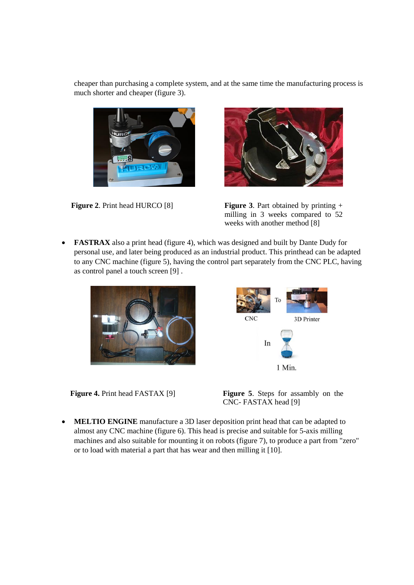cheaper than purchasing a complete system, and at the same time the manufacturing process is much shorter and cheaper (figure 3).





**Figure 2.** Print head HURCO [8] **Figure 3**. Part obtained by printing + milling in 3 weeks compared to 52 weeks with another method [8]

 **FASTRAX** also a print head (figure 4), which was designed and built by Dante Dudy for personal use, and later being produced as an industrial product. This printhead can be adapted to any CNC machine (figure 5), having the control part separately from the CNC PLC, having as control panel a touch screen [9] .



**CNC** 3D Printer In 1 Min.

**Figure 4.** Print head FASTAX [9] **Figure 5**. Steps for assambly on the CNC- FASTAX head [9]

 **MELTIO ENGINE** manufacture a 3D laser deposition print head that can be adapted to almost any CNC machine (figure 6). This head is precise and suitable for 5-axis milling machines and also suitable for mounting it on robots (figure 7), to produce a part from "zero" or to load with material a part that has wear and then milling it [10].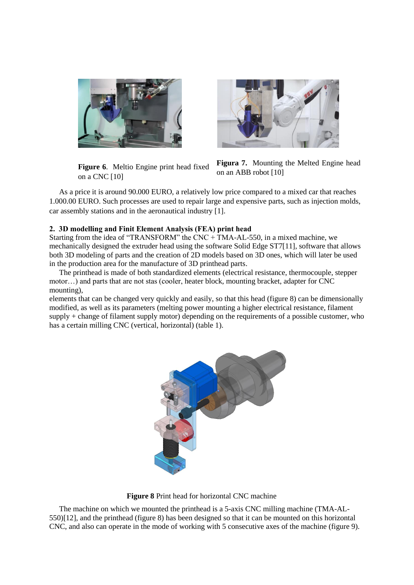





**Figura 7.** Mounting the Melted Engine head on an ABB robot [10]

As a price it is around 90.000 EURO, a relatively low price compared to a mixed car that reaches 1.000.00 EURO. Such processes are used to repair large and expensive parts, such as injection molds, car assembly stations and in the aeronautical industry [1].

## **2. 3D modelling and Finit Element Analysis (FEA) print head**

Starting from the idea of "TRANSFORM" the CNC + TMA-AL-550, in a mixed machine, we mechanically designed the extruder head using the software Solid Edge ST7[11], software that allows both 3D modeling of parts and the creation of 2D models based on 3D ones, which will later be used in the production area for the manufacture of 3D printhead parts.

The printhead is made of both standardized elements (electrical resistance, thermocouple, stepper motor…) and parts that are not stas (cooler, heater block, mounting bracket, adapter for CNC mounting),

elements that can be changed very quickly and easily, so that this head (figure 8) can be dimensionally modified, as well as its parameters (melting power mounting a higher electrical resistance, filament supply + change of filament supply motor) depending on the requirements of a possible customer, who has a certain milling CNC (vertical, horizontal) (table 1).



**Figure 8** Print head for horizontal CNC machine

The machine on which we mounted the printhead is a 5-axis CNC milling machine (TMA-AL-550)[12], and the printhead (figure 8) has been designed so that it can be mounted on this horizontal CNC, and also can operate in the mode of working with 5 consecutive axes of the machine (figure 9).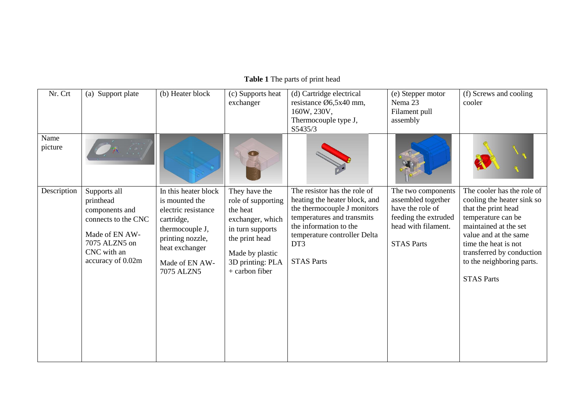| Nr. Crt         |                                                                                                                                           | (b) Heater block                                                                                                                                                     | (c) Supports heat                                                                                                                                                  | (d) Cartridge electrical                                                                                                                                                                                         |                                                                                                                                  | (f) Screws and cooling                                                                                                                                                                                                                                         |
|-----------------|-------------------------------------------------------------------------------------------------------------------------------------------|----------------------------------------------------------------------------------------------------------------------------------------------------------------------|--------------------------------------------------------------------------------------------------------------------------------------------------------------------|------------------------------------------------------------------------------------------------------------------------------------------------------------------------------------------------------------------|----------------------------------------------------------------------------------------------------------------------------------|----------------------------------------------------------------------------------------------------------------------------------------------------------------------------------------------------------------------------------------------------------------|
|                 | (a) Support plate                                                                                                                         |                                                                                                                                                                      | exchanger                                                                                                                                                          | resistance Ø6,5x40 mm,                                                                                                                                                                                           | (e) Stepper motor<br>Nema 23                                                                                                     | cooler                                                                                                                                                                                                                                                         |
|                 |                                                                                                                                           |                                                                                                                                                                      |                                                                                                                                                                    | 160W, 230V,                                                                                                                                                                                                      | Filament pull                                                                                                                    |                                                                                                                                                                                                                                                                |
|                 |                                                                                                                                           |                                                                                                                                                                      |                                                                                                                                                                    | Thermocouple type J,                                                                                                                                                                                             | assembly                                                                                                                         |                                                                                                                                                                                                                                                                |
|                 |                                                                                                                                           |                                                                                                                                                                      |                                                                                                                                                                    | S5435/3                                                                                                                                                                                                          |                                                                                                                                  |                                                                                                                                                                                                                                                                |
| Name<br>picture |                                                                                                                                           |                                                                                                                                                                      |                                                                                                                                                                    |                                                                                                                                                                                                                  |                                                                                                                                  |                                                                                                                                                                                                                                                                |
| Description     | Supports all<br>printhead<br>components and<br>connects to the CNC<br>Made of EN AW-<br>7075 ALZN5 on<br>CNC with an<br>accuracy of 0.02m | In this heater block<br>is mounted the<br>electric resistance<br>cartridge,<br>thermocouple J,<br>printing nozzle,<br>heat exchanger<br>Made of EN AW-<br>7075 ALZN5 | They have the<br>role of supporting<br>the heat<br>exchanger, which<br>in turn supports<br>the print head<br>Made by plastic<br>3D printing: PLA<br>+ carbon fiber | The resistor has the role of<br>heating the heater block, and<br>the thermocouple J monitors<br>temperatures and transmits<br>the information to the<br>temperature controller Delta<br>DT3<br><b>STAS Parts</b> | The two components<br>assembled together<br>have the role of<br>feeding the extruded<br>head with filament.<br><b>STAS Parts</b> | The cooler has the role of<br>cooling the heater sink so<br>that the print head<br>temperature can be<br>maintained at the set<br>value and at the same<br>time the heat is not<br>transferred by conduction<br>to the neighboring parts.<br><b>STAS Parts</b> |

# **Table 1** The parts of print head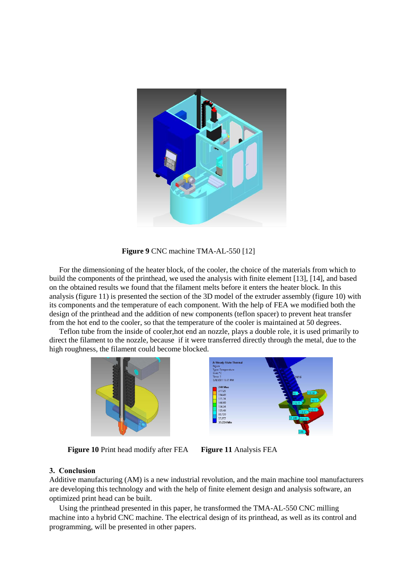

**Figure 9** CNC machine TMA-AL-550 [12]

For the dimensioning of the heater block, of the cooler, the choice of the materials from which to build the components of the printhead, we used the analysis with finite element [13], [14], and based on the obtained results we found that the filament melts before it enters the heater block. In this analysis (figure 11) is presented the section of the 3D model of the extruder assembly (figure 10) with its components and the temperature of each component. With the help of FEA we modified both the design of the printhead and the addition of new components (teflon spacer) to prevent heat transfer from the hot end to the cooler, so that the temperature of the cooler is maintained at 50 degrees.

Teflon tube from the inside of cooler,hot end an nozzle, plays a double role, it is used primarily to direct the filament to the nozzle, because if it were transferred directly through the metal, due to the high roughness, the filament could become blocked.



**Figure 10** Print head modify after FEA **Figure 11** Analysis FEA



# **3. Conclusion**

Additive manufacturing (AM) is a new industrial revolution, and the main machine tool manufacturers are developing this technology and with the help of finite element design and analysis software, an optimized print head can be built.

Using the printhead presented in this paper, he transformed the TMA-AL-550 CNC milling machine into a hybrid CNC machine. The electrical design of its printhead, as well as its control and programming, will be presented in other papers.